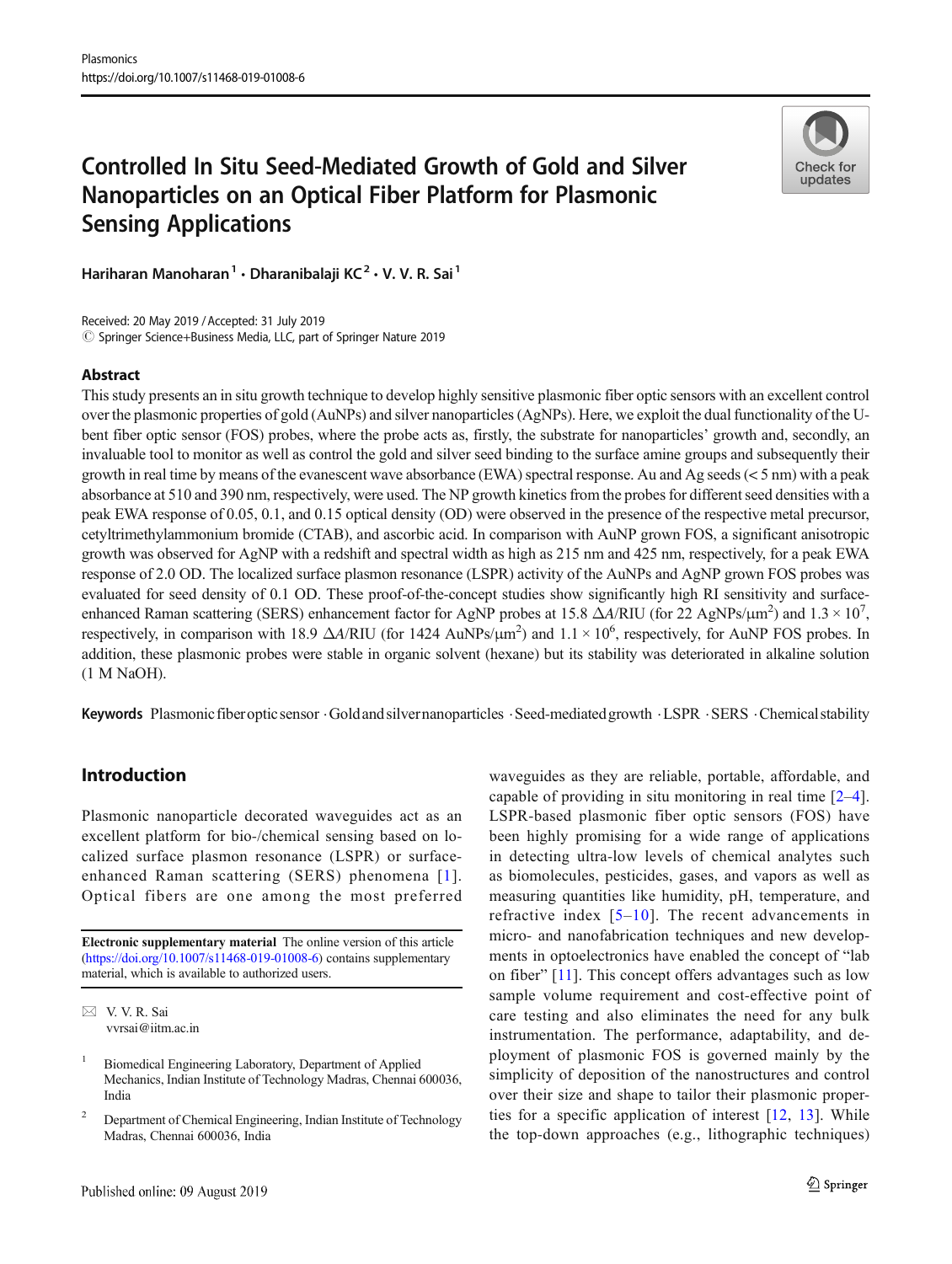# Controlled In Situ Seed-Mediated Growth of Gold and Silver Nanoparticles on an Optical Fiber Platform for Plasmonic Sensing Applications



Hariharan Manoharan<sup>1</sup> • Dharanibalaji KC<sup>2</sup> • V. V. R. Sai<sup>1</sup>

Received: 20 May 2019 / Accepted: 31 July 2019 © Springer Science+Business Media, LLC, part of Springer Nature 2019

## Abstract

This study presents an in situ growth technique to develop highly sensitive plasmonic fiber optic sensors with an excellent control over the plasmonic properties of gold (AuNPs) and silver nanoparticles (AgNPs). Here, we exploit the dual functionality of the Ubent fiber optic sensor (FOS) probes, where the probe acts as, firstly, the substrate for nanoparticles' growth and, secondly, an invaluable tool to monitor as well as control the gold and silver seed binding to the surface amine groups and subsequently their growth in real time by means of the evanescent wave absorbance (EWA) spectral response. Au and Ag seeds ( $\lt 5$  nm) with a peak absorbance at 510 and 390 nm, respectively, were used. The NP growth kinetics from the probes for different seed densities with a peak EWA response of 0.05, 0.1, and 0.15 optical density (OD) were observed in the presence of the respective metal precursor, cetyltrimethylammonium bromide (CTAB), and ascorbic acid. In comparison with AuNP grown FOS, a significant anisotropic growth was observed for AgNP with a redshift and spectral width as high as 215 nm and 425 nm, respectively, for a peak EWA response of 2.0 OD. The localized surface plasmon resonance (LSPR) activity of the AuNPs and AgNP grown FOS probes was evaluated for seed density of 0.1 OD. These proof-of-the-concept studies show significantly high RI sensitivity and surfaceenhanced Raman scattering (SERS) enhancement factor for AgNP probes at 15.8  $\Delta A/RIU$  (for 22 AgNPs/ $\mu$ m<sup>2</sup>) and 1.3 × 10<sup>7</sup>, respectively, in comparison with 18.9  $\Delta A/RIU$  (for 1424 AuNPs/ $\mu$ m<sup>2</sup>) and 1.1 × 10<sup>6</sup>, respectively, for AuNP FOS probes. In addition, these plasmonic probes were stable in organic solvent (hexane) but its stability was deteriorated in alkaline solution (1 M NaOH).

Keywords Plasmonic fiber optic sensor . Gold and silvernanoparticles . Seed-mediated growth . LSPR . SERS . Chemical stability

# Introduction

Plasmonic nanoparticle decorated waveguides act as an excellent platform for bio-/chemical sensing based on localized surface plasmon resonance (LSPR) or surfaceenhanced Raman scattering (SERS) phenomena [[1\]](#page-8-0). Optical fibers are one among the most preferred

Electronic supplementary material The online version of this article (<https://doi.org/10.1007/s11468-019-01008-6>) contains supplementary material, which is available to authorized users.

waveguides as they are reliable, portable, affordable, and capable of providing in situ monitoring in real time [[2](#page-8-0)–[4](#page-8-0)]. LSPR-based plasmonic fiber optic sensors (FOS) have been highly promising for a wide range of applications in detecting ultra-low levels of chemical analytes such as biomolecules, pesticides, gases, and vapors as well as measuring quantities like humidity, pH, temperature, and refractive index  $[5-10]$  $[5-10]$  $[5-10]$  $[5-10]$ . The recent advancements in micro- and nanofabrication techniques and new developments in optoelectronics have enabled the concept of "lab on fiber" [[11\]](#page-8-0). This concept offers advantages such as low sample volume requirement and cost-effective point of care testing and also eliminates the need for any bulk instrumentation. The performance, adaptability, and deployment of plasmonic FOS is governed mainly by the simplicity of deposition of the nanostructures and control over their size and shape to tailor their plasmonic properties for a specific application of interest [[12,](#page-8-0) [13\]](#page-8-0). While the top-down approaches (e.g., lithographic techniques)

 $\boxtimes$  V. V. R. Sai [vvrsai@iitm.ac.in](mailto:vvrsai@iitm.ac.in)

<sup>1</sup> Biomedical Engineering Laboratory, Department of Applied Mechanics, Indian Institute of Technology Madras, Chennai 600036, India

<sup>&</sup>lt;sup>2</sup> Department of Chemical Engineering, Indian Institute of Technology Madras, Chennai 600036, India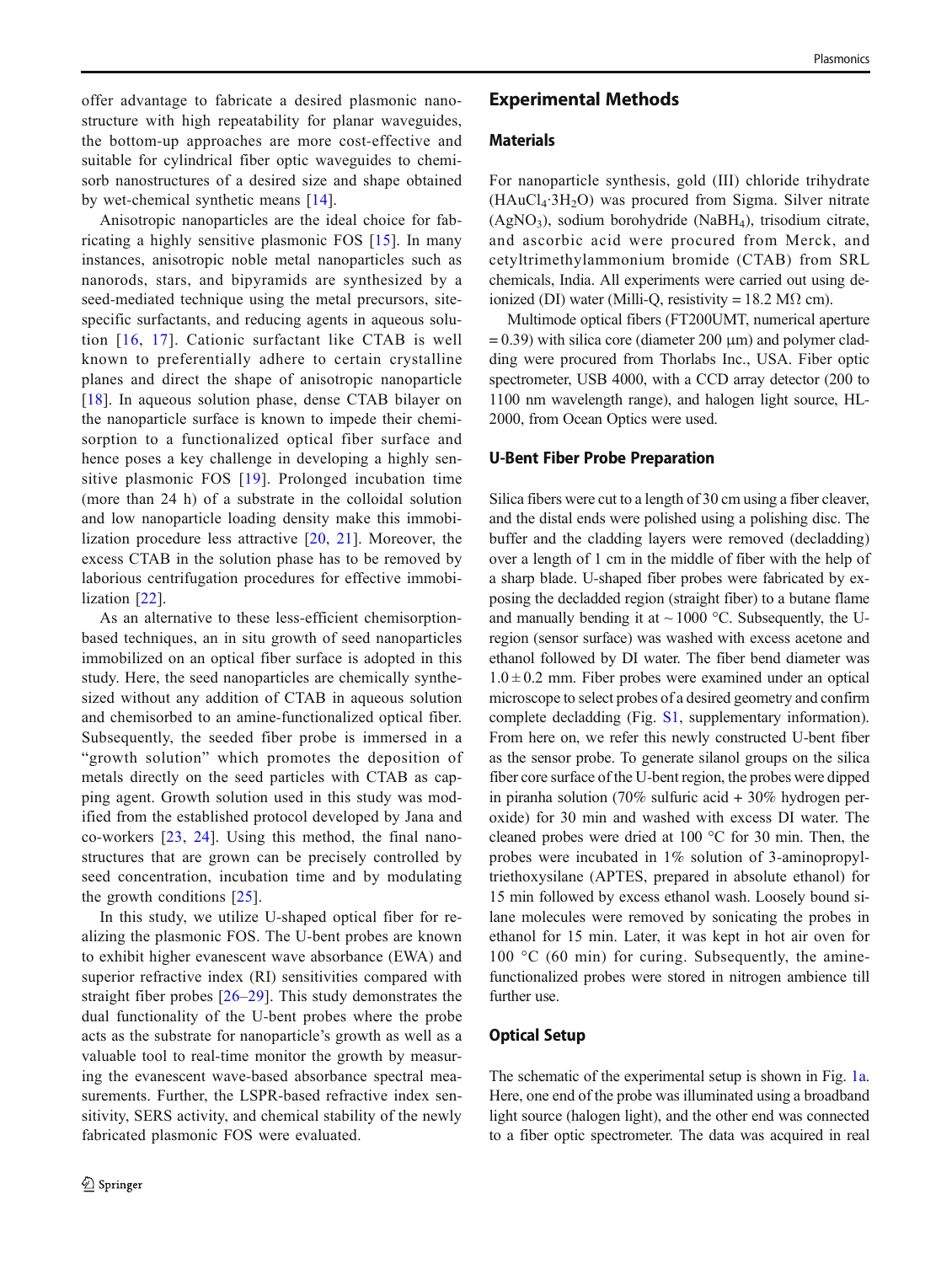offer advantage to fabricate a desired plasmonic nanostructure with high repeatability for planar waveguides, the bottom-up approaches are more cost-effective and suitable for cylindrical fiber optic waveguides to chemisorb nanostructures of a desired size and shape obtained by wet-chemical synthetic means [[14](#page-8-0)].

Anisotropic nanoparticles are the ideal choice for fabricating a highly sensitive plasmonic FOS [\[15\]](#page-8-0). In many instances, anisotropic noble metal nanoparticles such as nanorods, stars, and bipyramids are synthesized by a seed-mediated technique using the metal precursors, sitespecific surfactants, and reducing agents in aqueous solution [[16](#page-8-0), [17\]](#page-9-0). Cationic surfactant like CTAB is well known to preferentially adhere to certain crystalline planes and direct the shape of anisotropic nanoparticle [\[18\]](#page-9-0). In aqueous solution phase, dense CTAB bilayer on the nanoparticle surface is known to impede their chemisorption to a functionalized optical fiber surface and hence poses a key challenge in developing a highly sensitive plasmonic FOS [[19\]](#page-9-0). Prolonged incubation time (more than 24 h) of a substrate in the colloidal solution and low nanoparticle loading density make this immobilization procedure less attractive [[20](#page-9-0), [21\]](#page-9-0). Moreover, the excess CTAB in the solution phase has to be removed by laborious centrifugation procedures for effective immobilization [\[22](#page-9-0)].

As an alternative to these less-efficient chemisorptionbased techniques, an in situ growth of seed nanoparticles immobilized on an optical fiber surface is adopted in this study. Here, the seed nanoparticles are chemically synthesized without any addition of CTAB in aqueous solution and chemisorbed to an amine-functionalized optical fiber. Subsequently, the seeded fiber probe is immersed in a "growth solution" which promotes the deposition of metals directly on the seed particles with CTAB as capping agent. Growth solution used in this study was modified from the established protocol developed by Jana and co-workers [\[23](#page-9-0), [24](#page-9-0)]. Using this method, the final nanostructures that are grown can be precisely controlled by seed concentration, incubation time and by modulating the growth conditions [\[25](#page-9-0)].

In this study, we utilize U-shaped optical fiber for realizing the plasmonic FOS. The U-bent probes are known to exhibit higher evanescent wave absorbance (EWA) and superior refractive index (RI) sensitivities compared with straight fiber probes [[26](#page-9-0)–[29](#page-9-0)]. This study demonstrates the dual functionality of the U-bent probes where the probe acts as the substrate for nanoparticle's growth as well as a valuable tool to real-time monitor the growth by measuring the evanescent wave-based absorbance spectral measurements. Further, the LSPR-based refractive index sensitivity, SERS activity, and chemical stability of the newly fabricated plasmonic FOS were evaluated.

# Experimental Methods

# Materials

For nanoparticle synthesis, gold (III) chloride trihydrate  $(HAuCl<sub>4</sub>·3H<sub>2</sub>O)$  was procured from Sigma. Silver nitrate  $(AgNO<sub>3</sub>)$ , sodium borohydride (NaBH<sub>4</sub>), trisodium citrate, and ascorbic acid were procured from Merck, and cetyltrimethylammonium bromide (CTAB) from SRL chemicals, India. All experiments were carried out using deionized (DI) water (Milli-Q, resistivity = 18.2 M $\Omega$  cm).

Multimode optical fibers (FT200UMT, numerical aperture  $= 0.39$ ) with silica core (diameter 200  $\mu$ m) and polymer cladding were procured from Thorlabs Inc., USA. Fiber optic spectrometer, USB 4000, with a CCD array detector (200 to 1100 nm wavelength range), and halogen light source, HL-2000, from Ocean Optics were used.

#### U-Bent Fiber Probe Preparation

Silica fibers were cut to a length of 30 cm using a fiber cleaver, and the distal ends were polished using a polishing disc. The buffer and the cladding layers were removed (decladding) over a length of 1 cm in the middle of fiber with the help of a sharp blade. U-shaped fiber probes were fabricated by exposing the decladded region (straight fiber) to a butane flame and manually bending it at  $\sim$  1000 °C. Subsequently, the Uregion (sensor surface) was washed with excess acetone and ethanol followed by DI water. The fiber bend diameter was  $1.0 \pm 0.2$  mm. Fiber probes were examined under an optical microscope to select probes of a desired geometry and confirm complete decladding (Fig. S1, supplementary information). From here on, we refer this newly constructed U-bent fiber as the sensor probe. To generate silanol groups on the silica fiber core surface of the U-bent region, the probes were dipped in piranha solution (70% sulfuric acid + 30% hydrogen peroxide) for 30 min and washed with excess DI water. The cleaned probes were dried at 100 °C for 30 min. Then, the probes were incubated in 1% solution of 3-aminopropyltriethoxysilane (APTES, prepared in absolute ethanol) for 15 min followed by excess ethanol wash. Loosely bound silane molecules were removed by sonicating the probes in ethanol for 15 min. Later, it was kept in hot air oven for  $100 \degree C$  (60 min) for curing. Subsequently, the aminefunctionalized probes were stored in nitrogen ambience till further use.

## Optical Setup

The schematic of the experimental setup is shown in Fig. [1a.](#page-2-0) Here, one end of the probe was illuminated using a broadband light source (halogen light), and the other end was connected to a fiber optic spectrometer. The data was acquired in real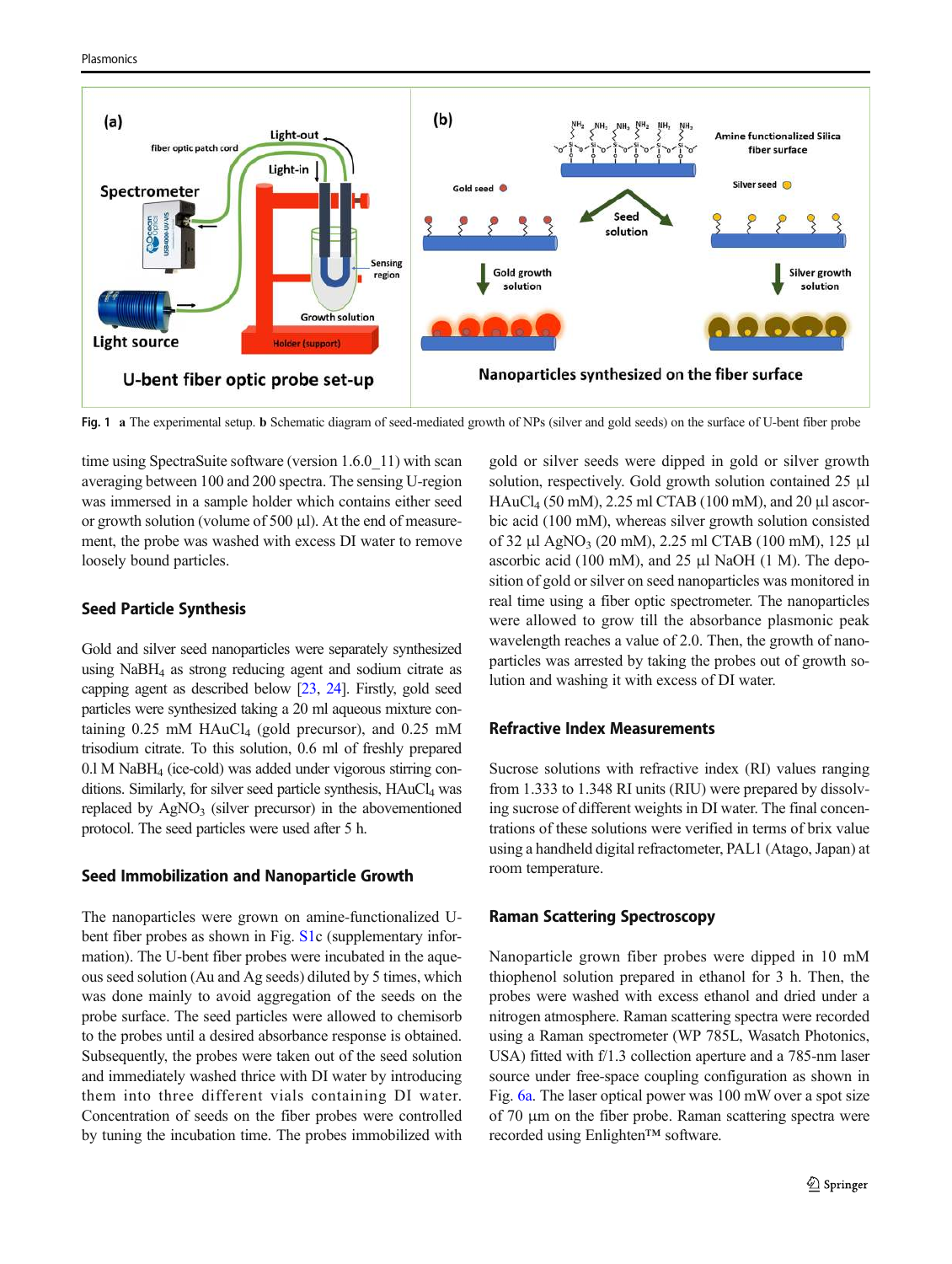<span id="page-2-0"></span>



Fig. 1 a The experimental setup. b Schematic diagram of seed-mediated growth of NPs (silver and gold seeds) on the surface of U-bent fiber probe

time using SpectraSuite software (version 1.6.0 11) with scan averaging between 100 and 200 spectra. The sensing U-region was immersed in a sample holder which contains either seed or growth solution (volume of 500 μl). At the end of measurement, the probe was washed with excess DI water to remove loosely bound particles.

# Seed Particle Synthesis

Gold and silver seed nanoparticles were separately synthesized using  $N$ aBH<sub>4</sub> as strong reducing agent and sodium citrate as capping agent as described below [[23](#page-9-0), [24\]](#page-9-0). Firstly, gold seed particles were synthesized taking a 20 ml aqueous mixture containing  $0.25$  mM HAuCl<sub>4</sub> (gold precursor), and  $0.25$  mM trisodium citrate. To this solution, 0.6 ml of freshly prepared  $0.1$  M NaBH<sub>4</sub> (ice-cold) was added under vigorous stirring conditions. Similarly, for silver seed particle synthesis, HAuCl<sub>4</sub> was replaced by  $AgNO<sub>3</sub>$  (silver precursor) in the abovementioned protocol. The seed particles were used after 5 h.

## Seed Immobilization and Nanoparticle Growth

The nanoparticles were grown on amine-functionalized Ubent fiber probes as shown in Fig. S1c (supplementary information). The U-bent fiber probes were incubated in the aqueous seed solution (Au and Ag seeds) diluted by 5 times, which was done mainly to avoid aggregation of the seeds on the probe surface. The seed particles were allowed to chemisorb to the probes until a desired absorbance response is obtained. Subsequently, the probes were taken out of the seed solution and immediately washed thrice with DI water by introducing them into three different vials containing DI water. Concentration of seeds on the fiber probes were controlled by tuning the incubation time. The probes immobilized with gold or silver seeds were dipped in gold or silver growth solution, respectively. Gold growth solution contained 25 μl HAuCl<sup>4</sup> (50 mM), 2.25 ml CTAB (100 mM), and 20 μl ascorbic acid (100 mM), whereas silver growth solution consisted of 32 μl AgNO<sub>3</sub> (20 mM), 2.25 ml CTAB (100 mM), 125 μl ascorbic acid (100 mM), and 25  $\mu$ l NaOH (1 M). The deposition of gold or silver on seed nanoparticles was monitored in real time using a fiber optic spectrometer. The nanoparticles were allowed to grow till the absorbance plasmonic peak wavelength reaches a value of 2.0. Then, the growth of nanoparticles was arrested by taking the probes out of growth solution and washing it with excess of DI water.

## Refractive Index Measurements

Sucrose solutions with refractive index (RI) values ranging from 1.333 to 1.348 RI units (RIU) were prepared by dissolving sucrose of different weights in DI water. The final concentrations of these solutions were verified in terms of brix value using a handheld digital refractometer, PAL1 (Atago, Japan) at room temperature.

## Raman Scattering Spectroscopy

Nanoparticle grown fiber probes were dipped in 10 mM thiophenol solution prepared in ethanol for 3 h. Then, the probes were washed with excess ethanol and dried under a nitrogen atmosphere. Raman scattering spectra were recorded using a Raman spectrometer (WP 785L, Wasatch Photonics, USA) fitted with f/1.3 collection aperture and a 785-nm laser source under free-space coupling configuration as shown in Fig. [6a](#page-7-0). The laser optical power was 100 mW over a spot size of 70 μm on the fiber probe. Raman scattering spectra were recorded using Enlighten™ software.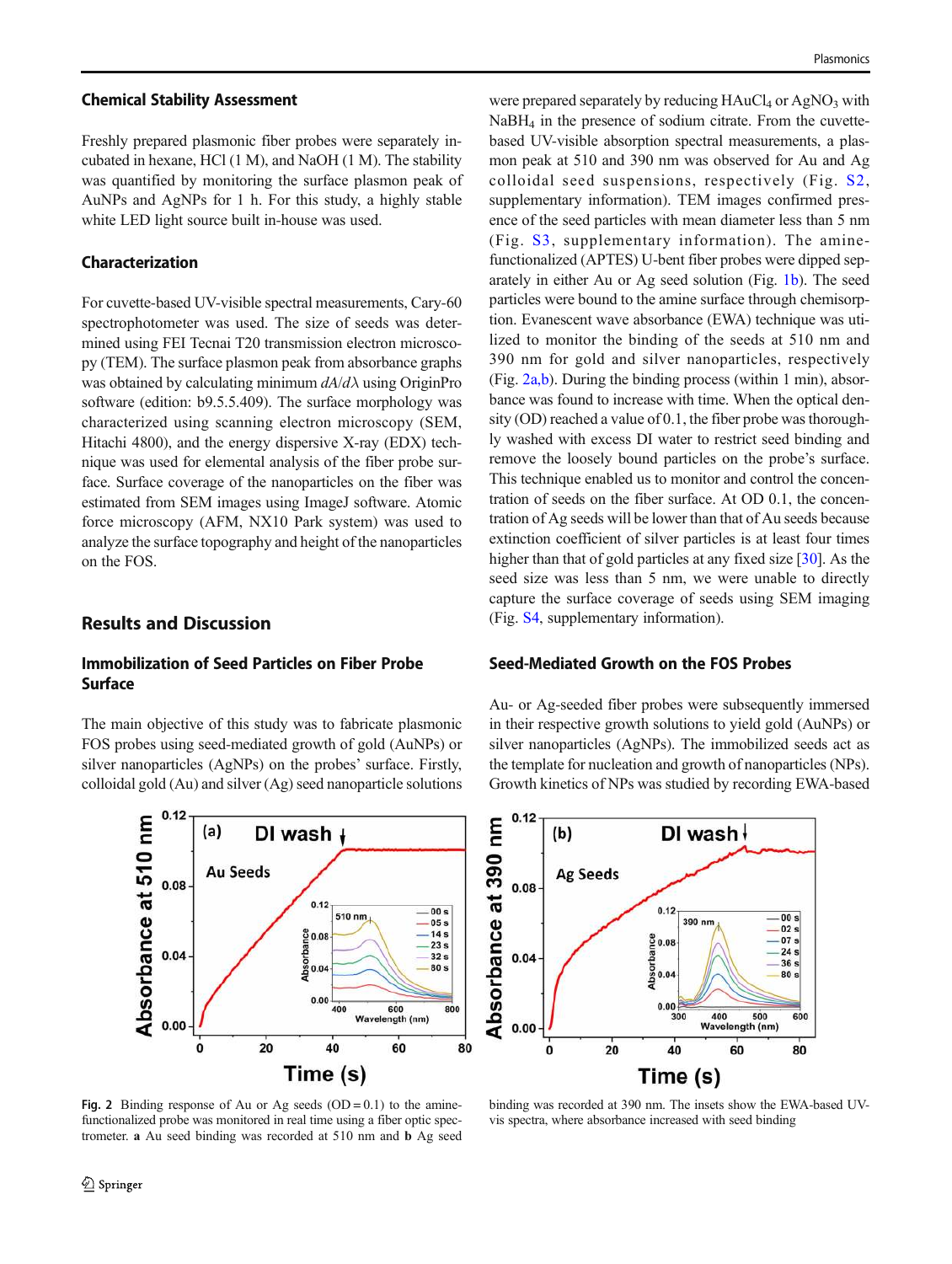#### Chemical Stability Assessment

Freshly prepared plasmonic fiber probes were separately incubated in hexane, HCl (1 M), and NaOH (1 M). The stability was quantified by monitoring the surface plasmon peak of AuNPs and AgNPs for 1 h. For this study, a highly stable white LED light source built in-house was used.

# Characterization

For cuvette-based UV-visible spectral measurements, Cary-60 spectrophotometer was used. The size of seeds was determined using FEI Tecnai T20 transmission electron microscopy (TEM). The surface plasmon peak from absorbance graphs was obtained by calculating minimum  $dA/d\lambda$  using OriginPro software (edition: b9.5.5.409). The surface morphology was characterized using scanning electron microscopy (SEM, Hitachi 4800), and the energy dispersive X-ray (EDX) technique was used for elemental analysis of the fiber probe surface. Surface coverage of the nanoparticles on the fiber was estimated from SEM images using ImageJ software. Atomic force microscopy (AFM, NX10 Park system) was used to analyze the surface topography and height of the nanoparticles on the FOS.

# Results and Discussion

# Immobilization of Seed Particles on Fiber Probe Surface

The main objective of this study was to fabricate plasmonic FOS probes using seed-mediated growth of gold (AuNPs) or silver nanoparticles (AgNPs) on the probes' surface. Firstly, colloidal gold (Au) and silver (Ag) seed nanoparticle solutions



Fig. 2 Binding response of Au or Ag seeds  $(OD = 0.1)$  to the aminefunctionalized probe was monitored in real time using a fiber optic spectrometer. a Au seed binding was recorded at 510 nm and b Ag seed

were prepared separately by reducing  $HAuCl<sub>4</sub>$  or  $AgNO<sub>3</sub>$  with  $NaBH<sub>4</sub>$  in the presence of sodium citrate. From the cuvettebased UV-visible absorption spectral measurements, a plasmon peak at 510 and 390 nm was observed for Au and Ag colloidal seed suspensions, respectively (Fig. S2, supplementary information). TEM images confirmed presence of the seed particles with mean diameter less than 5 nm (Fig. S3, supplementary information). The aminefunctionalized (APTES) U-bent fiber probes were dipped separately in either Au or Ag seed solution (Fig. [1b\)](#page-2-0). The seed particles were bound to the amine surface through chemisorption. Evanescent wave absorbance (EWA) technique was utilized to monitor the binding of the seeds at 510 nm and 390 nm for gold and silver nanoparticles, respectively (Fig. 2a,b). During the binding process (within 1 min), absorbance was found to increase with time. When the optical density (OD) reached a value of 0.1, the fiber probe was thoroughly washed with excess DI water to restrict seed binding and remove the loosely bound particles on the probe's surface. This technique enabled us to monitor and control the concentration of seeds on the fiber surface. At OD 0.1, the concentration of Ag seeds will be lower than that of Au seeds because extinction coefficient of silver particles is at least four times higher than that of gold particles at any fixed size [[30](#page-9-0)]. As the seed size was less than 5 nm, we were unable to directly capture the surface coverage of seeds using SEM imaging (Fig. S4, supplementary information).

## Seed-Mediated Growth on the FOS Probes

Au- or Ag-seeded fiber probes were subsequently immersed in their respective growth solutions to yield gold (AuNPs) or silver nanoparticles (AgNPs). The immobilized seeds act as the template for nucleation and growth of nanoparticles (NPs). Growth kinetics of NPs was studied by recording EWA-based



binding was recorded at 390 nm. The insets show the EWA-based UVvis spectra, where absorbance increased with seed binding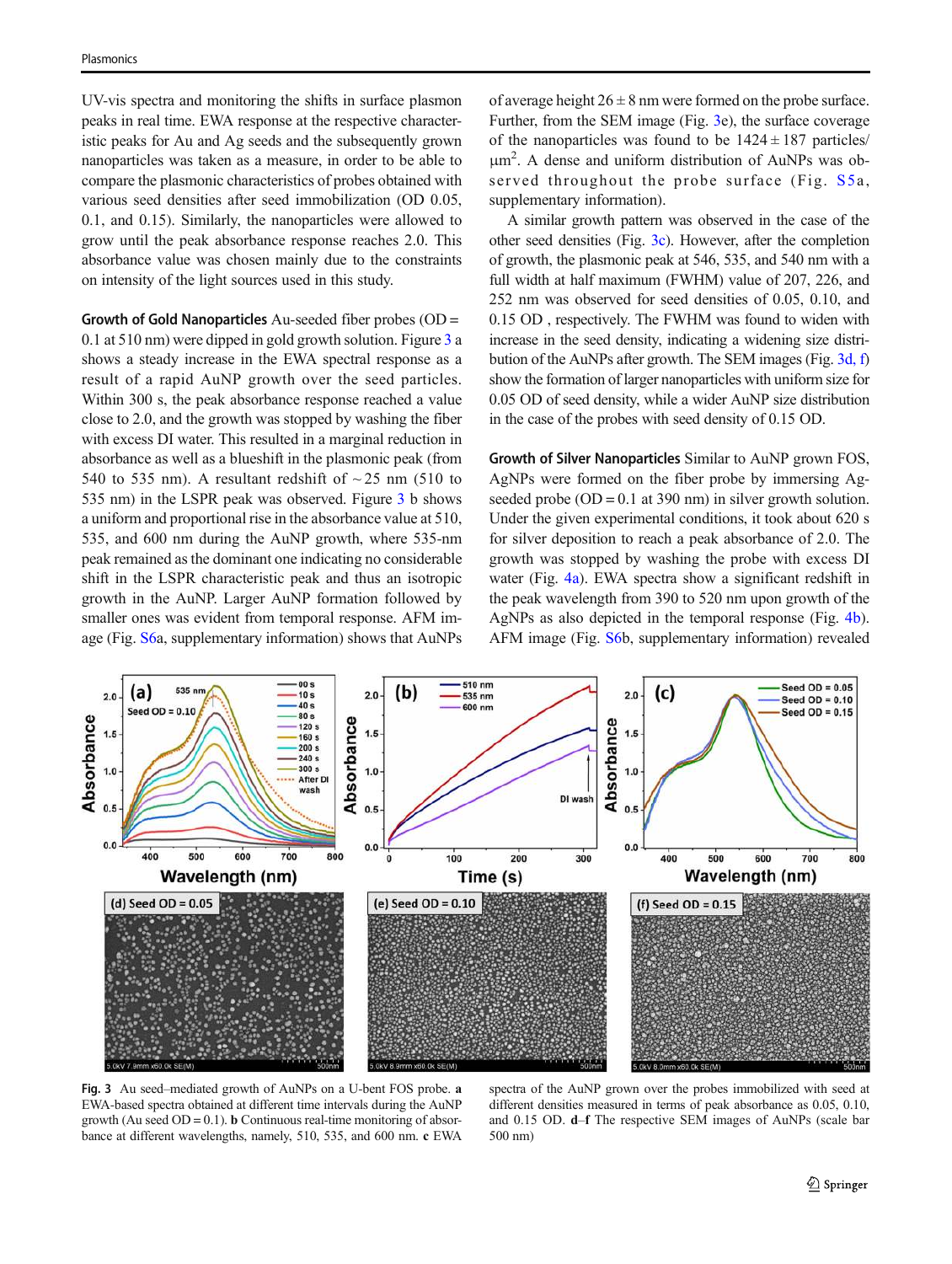UV-vis spectra and monitoring the shifts in surface plasmon peaks in real time. EWA response at the respective characteristic peaks for Au and Ag seeds and the subsequently grown nanoparticles was taken as a measure, in order to be able to compare the plasmonic characteristics of probes obtained with various seed densities after seed immobilization (OD 0.05, 0.1, and 0.15). Similarly, the nanoparticles were allowed to grow until the peak absorbance response reaches 2.0. This absorbance value was chosen mainly due to the constraints on intensity of the light sources used in this study.

Growth of Gold Nanoparticles Au-seeded fiber probes (OD = 0.1 at 510 nm) were dipped in gold growth solution. Figure 3 a shows a steady increase in the EWA spectral response as a result of a rapid AuNP growth over the seed particles. Within 300 s, the peak absorbance response reached a value close to 2.0, and the growth was stopped by washing the fiber with excess DI water. This resulted in a marginal reduction in absorbance as well as a blueshift in the plasmonic peak (from 540 to 535 nm). A resultant redshift of  $\sim$  25 nm (510 to 535 nm) in the LSPR peak was observed. Figure 3 b shows a uniform and proportional rise in the absorbance value at 510, 535, and 600 nm during the AuNP growth, where 535-nm peak remained as the dominant one indicating no considerable shift in the LSPR characteristic peak and thus an isotropic growth in the AuNP. Larger AuNP formation followed by smaller ones was evident from temporal response. AFM image (Fig. S6a, supplementary information) shows that AuNPs of average height  $26 \pm 8$  nm were formed on the probe surface. Further, from the SEM image (Fig. 3e), the surface coverage of the nanoparticles was found to be  $1424 \pm 187$  particles/ μm 2 . A dense and uniform distribution of AuNPs was observed throughout the probe surface (Fig.  $S5a$ , supplementary information).

A similar growth pattern was observed in the case of the other seed densities (Fig. 3c). However, after the completion of growth, the plasmonic peak at 546, 535, and 540 nm with a full width at half maximum (FWHM) value of 207, 226, and 252 nm was observed for seed densities of 0.05, 0.10, and 0.15 OD , respectively. The FWHM was found to widen with increase in the seed density, indicating a widening size distribution of the AuNPs after growth. The SEM images (Fig. 3d, f) show the formation of larger nanoparticles with uniform size for 0.05 OD of seed density, while a wider AuNP size distribution in the case of the probes with seed density of 0.15 OD.

Growth of Silver Nanoparticles Similar to AuNP grown FOS, AgNPs were formed on the fiber probe by immersing Agseeded probe  $(OD = 0.1$  at 390 nm) in silver growth solution. Under the given experimental conditions, it took about 620 s for silver deposition to reach a peak absorbance of 2.0. The growth was stopped by washing the probe with excess DI water (Fig. [4a](#page-5-0)). EWA spectra show a significant redshift in the peak wavelength from 390 to 520 nm upon growth of the AgNPs as also depicted in the temporal response (Fig. [4b\)](#page-5-0). AFM image (Fig. S6b, supplementary information) revealed



Fig. 3 Au seed–mediated growth of AuNPs on a U-bent FOS probe. a EWA-based spectra obtained at different time intervals during the AuNP growth (Au seed  $OD = 0.1$ ). **b** Continuous real-time monitoring of absorbance at different wavelengths, namely, 510, 535, and 600 nm. c EWA

spectra of the AuNP grown over the probes immobilized with seed at different densities measured in terms of peak absorbance as 0.05, 0.10, and 0.15 OD. d–f The respective SEM images of AuNPs (scale bar 500 nm)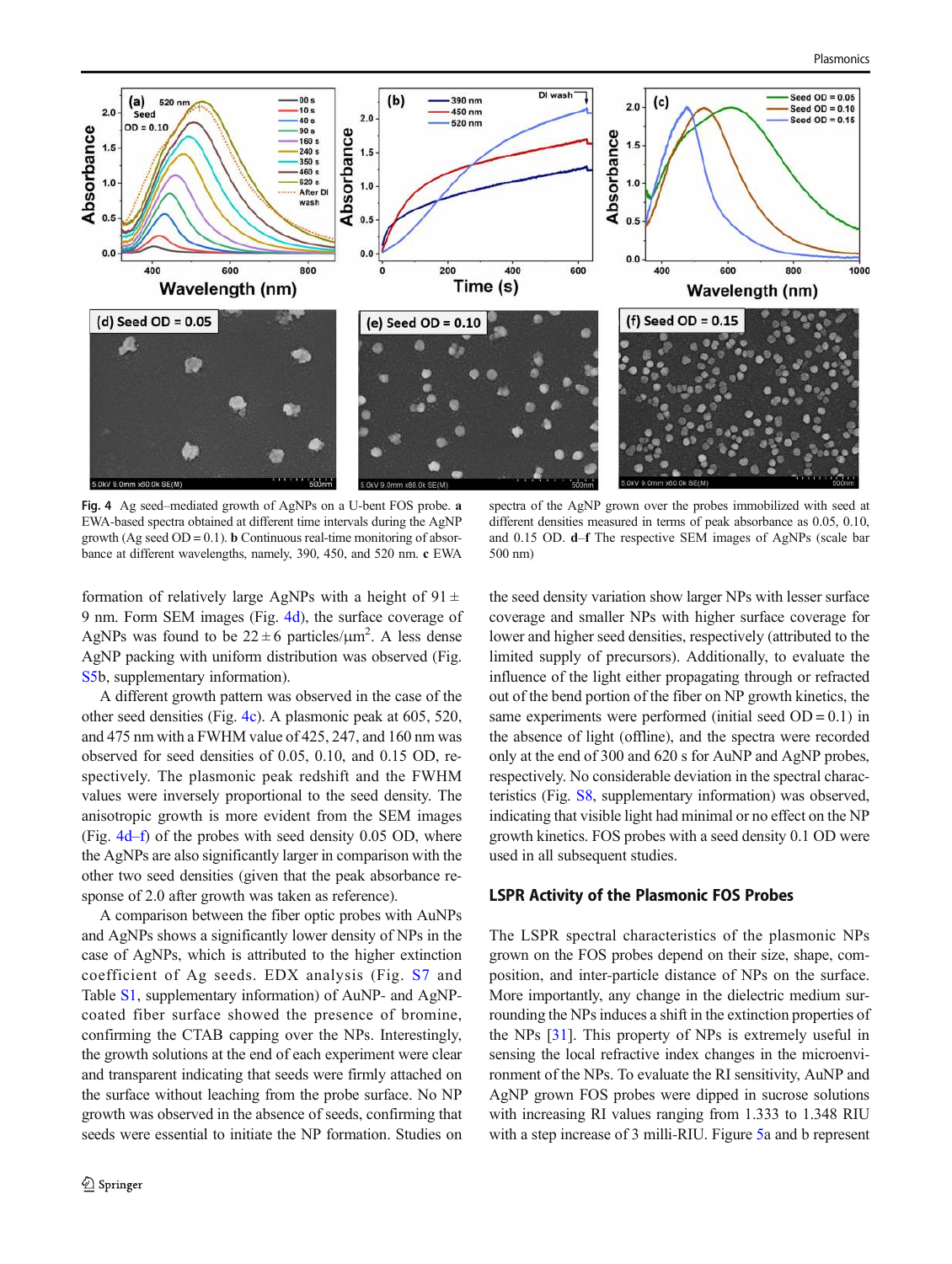<span id="page-5-0"></span>

Fig. 4 Ag seed–mediated growth of AgNPs on a U-bent FOS probe. a EWA-based spectra obtained at different time intervals during the AgNP growth (Ag seed  $OD = 0.1$ ). **b** Continuous real-time monitoring of absorbance at different wavelengths, namely, 390, 450, and 520 nm. c EWA

spectra of the AgNP grown over the probes immobilized with seed at different densities measured in terms of peak absorbance as 0.05, 0.10, and 0.15 OD. d–f The respective SEM images of AgNPs (scale bar 500 nm)

formation of relatively large AgNPs with a height of  $91 \pm$ 9 nm. Form SEM images (Fig. 4d), the surface coverage of AgNPs was found to be  $22 \pm 6$  particles/ $\mu$ m<sup>2</sup>. A less dense AgNP packing with uniform distribution was observed (Fig. S5b, supplementary information).

A different growth pattern was observed in the case of the other seed densities (Fig. 4c). A plasmonic peak at 605, 520, and 475 nm with a FWHM value of 425, 247, and 160 nm was observed for seed densities of 0.05, 0.10, and 0.15 OD, respectively. The plasmonic peak redshift and the FWHM values were inversely proportional to the seed density. The anisotropic growth is more evident from the SEM images (Fig. 4d–f) of the probes with seed density 0.05 OD, where the AgNPs are also significantly larger in comparison with the other two seed densities (given that the peak absorbance response of 2.0 after growth was taken as reference).

A comparison between the fiber optic probes with AuNPs and AgNPs shows a significantly lower density of NPs in the case of AgNPs, which is attributed to the higher extinction coefficient of Ag seeds. EDX analysis (Fig. S7 and Table S1, supplementary information) of AuNP- and AgNPcoated fiber surface showed the presence of bromine, confirming the CTAB capping over the NPs. Interestingly, the growth solutions at the end of each experiment were clear and transparent indicating that seeds were firmly attached on the surface without leaching from the probe surface. No NP growth was observed in the absence of seeds, confirming that seeds were essential to initiate the NP formation. Studies on the seed density variation show larger NPs with lesser surface coverage and smaller NPs with higher surface coverage for lower and higher seed densities, respectively (attributed to the limited supply of precursors). Additionally, to evaluate the influence of the light either propagating through or refracted out of the bend portion of the fiber on NP growth kinetics, the same experiments were performed (initial seed  $OD = 0.1$ ) in the absence of light (offline), and the spectra were recorded only at the end of 300 and 620 s for AuNP and AgNP probes, respectively. No considerable deviation in the spectral characteristics (Fig. S8, supplementary information) was observed, indicating that visible light had minimal or no effect on the NP growth kinetics. FOS probes with a seed density 0.1 OD were used in all subsequent studies.

#### LSPR Activity of the Plasmonic FOS Probes

The LSPR spectral characteristics of the plasmonic NPs grown on the FOS probes depend on their size, shape, composition, and inter-particle distance of NPs on the surface. More importantly, any change in the dielectric medium surrounding the NPs induces a shift in the extinction properties of the NPs [\[31](#page-9-0)]. This property of NPs is extremely useful in sensing the local refractive index changes in the microenvironment of the NPs. To evaluate the RI sensitivity, AuNP and AgNP grown FOS probes were dipped in sucrose solutions with increasing RI values ranging from 1.333 to 1.348 RIU with a step increase of 3 milli-RIU. Figure [5](#page-6-0)a and b represent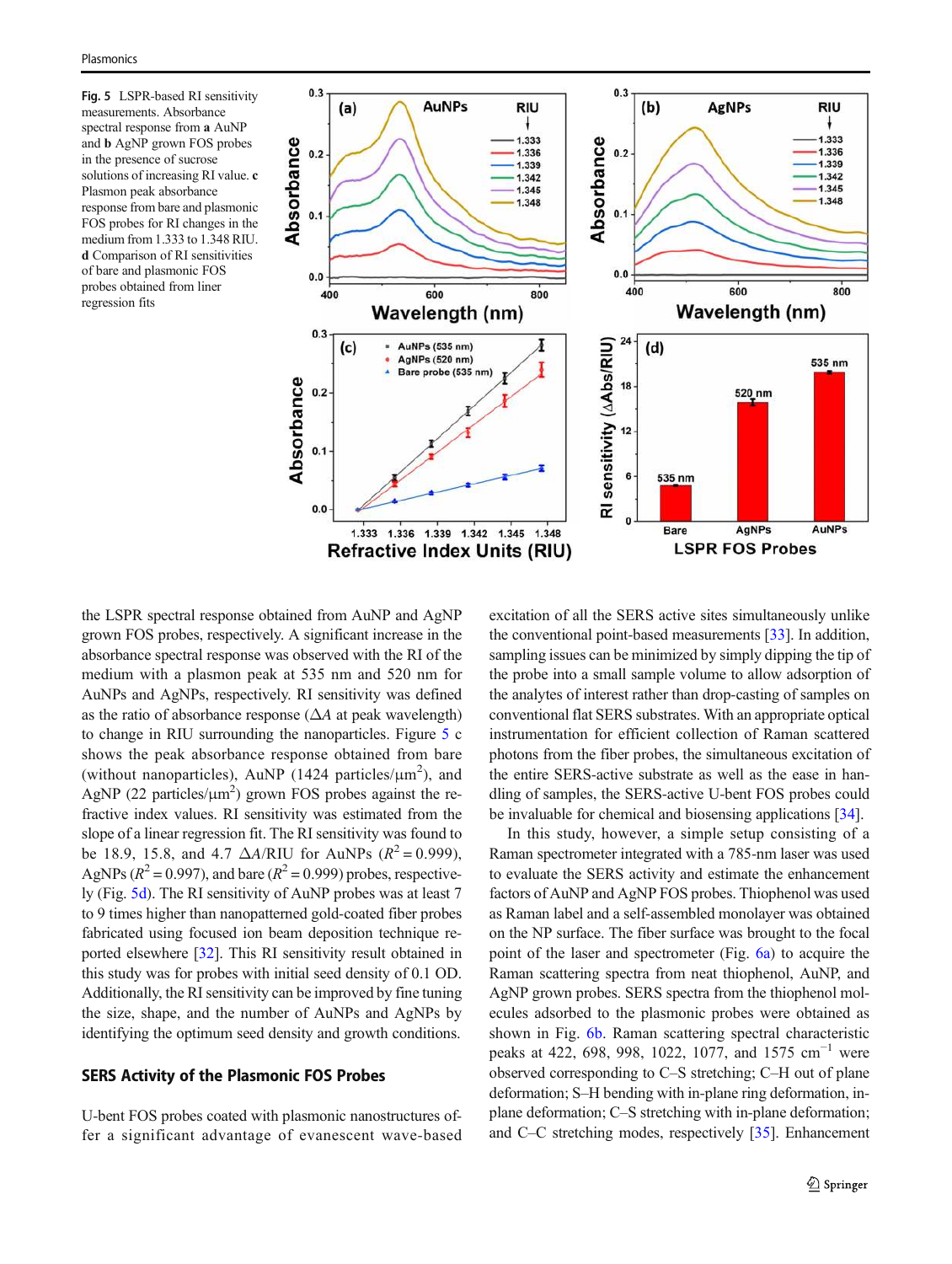<span id="page-6-0"></span>Fig. 5 LSPR-based RI sensitivity measurements. Absorbance spectral response from a AuNP and b AgNP grown FOS probes in the presence of sucrose solutions of increasing RI value. c Plasmon peak absorbance response from bare and plasmonic FOS probes for RI changes in the medium from 1.333 to 1.348 RIU. d Comparison of RI sensitivities of bare and plasmonic FOS probes obtained from liner regression fits



the LSPR spectral response obtained from AuNP and AgNP grown FOS probes, respectively. A significant increase in the absorbance spectral response was observed with the RI of the medium with a plasmon peak at 535 nm and 520 nm for AuNPs and AgNPs, respectively. RI sensitivity was defined as the ratio of absorbance response  $(\Delta A$  at peak wavelength) to change in RIU surrounding the nanoparticles. Figure 5 c shows the peak absorbance response obtained from bare (without nanoparticles), AuNP (1424 particles/ $\mu$ m<sup>2</sup>), and AgNP (22 particles/ $\mu$ m<sup>2</sup>) grown FOS probes against the refractive index values. RI sensitivity was estimated from the slope of a linear regression fit. The RI sensitivity was found to be 18.9, 15.8, and 4.7  $\Delta A/RIU$  for AuNPs ( $R^2 = 0.999$ ), AgNPs ( $R^2 = 0.997$ ), and bare ( $R^2 = 0.999$ ) probes, respectively (Fig. 5d). The RI sensitivity of AuNP probes was at least 7 to 9 times higher than nanopatterned gold-coated fiber probes fabricated using focused ion beam deposition technique reported elsewhere [\[32](#page-9-0)]. This RI sensitivity result obtained in this study was for probes with initial seed density of 0.1 OD. Additionally, the RI sensitivity can be improved by fine tuning the size, shape, and the number of AuNPs and AgNPs by identifying the optimum seed density and growth conditions.

# SERS Activity of the Plasmonic FOS Probes

U-bent FOS probes coated with plasmonic nanostructures offer a significant advantage of evanescent wave-based excitation of all the SERS active sites simultaneously unlike the conventional point-based measurements [[33](#page-9-0)]. In addition, sampling issues can be minimized by simply dipping the tip of the probe into a small sample volume to allow adsorption of the analytes of interest rather than drop-casting of samples on conventional flat SERS substrates. With an appropriate optical instrumentation for efficient collection of Raman scattered photons from the fiber probes, the simultaneous excitation of the entire SERS-active substrate as well as the ease in handling of samples, the SERS-active U-bent FOS probes could be invaluable for chemical and biosensing applications [\[34](#page-9-0)].

In this study, however, a simple setup consisting of a Raman spectrometer integrated with a 785-nm laser was used to evaluate the SERS activity and estimate the enhancement factors of AuNP and AgNP FOS probes. Thiophenol was used as Raman label and a self-assembled monolayer was obtained on the NP surface. The fiber surface was brought to the focal point of the laser and spectrometer (Fig. [6a](#page-7-0)) to acquire the Raman scattering spectra from neat thiophenol, AuNP, and AgNP grown probes. SERS spectra from the thiophenol molecules adsorbed to the plasmonic probes were obtained as shown in Fig. [6b](#page-7-0). Raman scattering spectral characteristic peaks at 422, 698, 998, 1022, 1077, and 1575 cm<sup>-1</sup> were observed corresponding to C–S stretching; C–H out of plane deformation; S–H bending with in-plane ring deformation, inplane deformation; C–S stretching with in-plane deformation; and C–C stretching modes, respectively [\[35](#page-9-0)]. Enhancement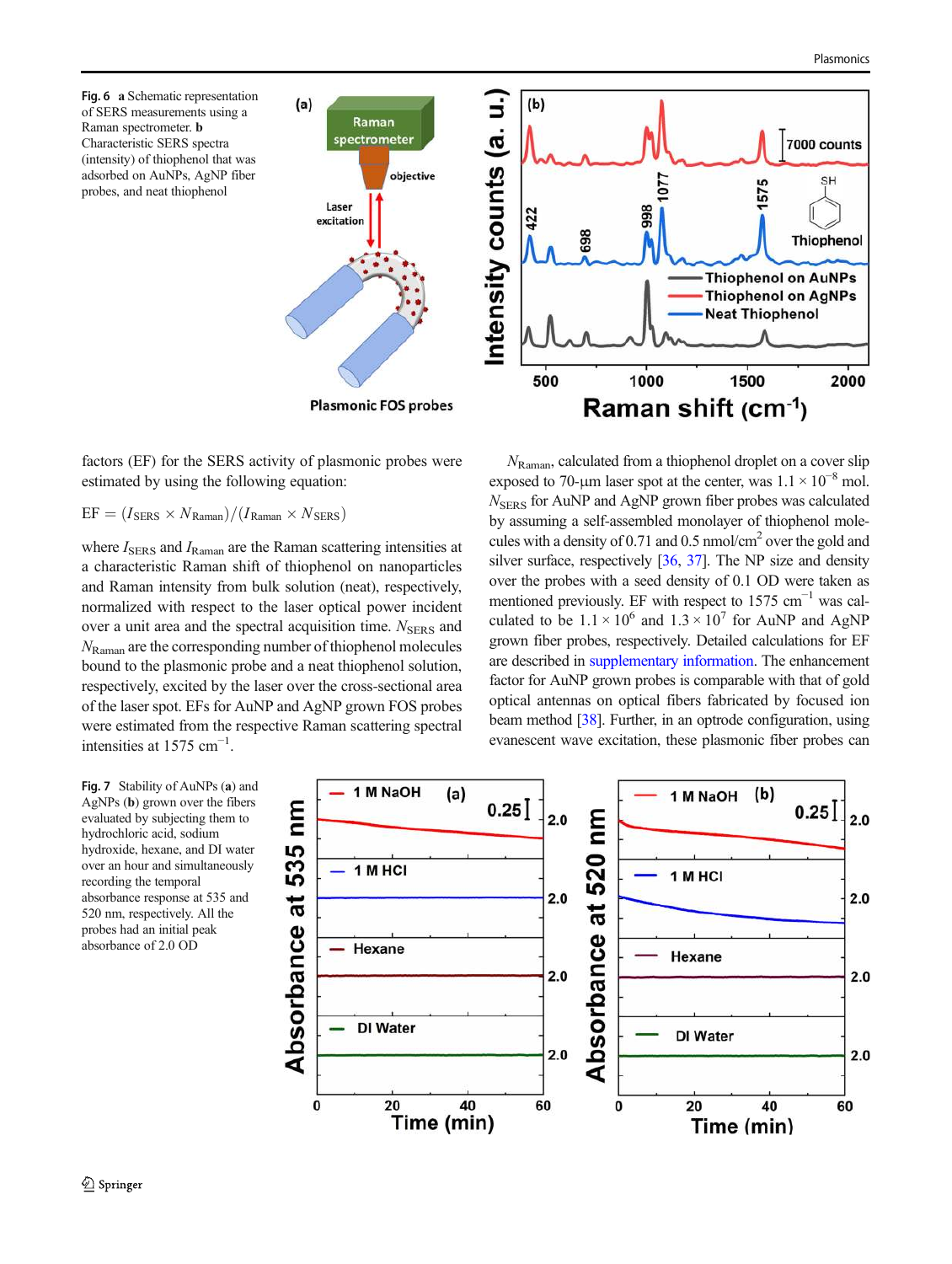<span id="page-7-0"></span>Fig. 6 a Schematic representation of SERS measurements using a Raman spectrometer. b Characteristic SERS spectra (intensity) of thiophenol that was adsorbed on AuNPs, AgNP fiber probes, and neat thiophenol



factors (EF) for the SERS activity of plasmonic probes were estimated by using the following equation:

 $EF = (I_{SERS} \times N_{Raman})/(I_{Raman} \times N_{SERS})$ 

where  $I_{\text{SERS}}$  and  $I_{\text{Raman}}$  are the Raman scattering intensities at a characteristic Raman shift of thiophenol on nanoparticles and Raman intensity from bulk solution (neat), respectively, normalized with respect to the laser optical power incident over a unit area and the spectral acquisition time.  $N<sub>SERS</sub>$  and  $N_{\text{Raman}}$  are the corresponding number of thiophenol molecules bound to the plasmonic probe and a neat thiophenol solution, respectively, excited by the laser over the cross-sectional area of the laser spot. EFs for AuNP and AgNP grown FOS probes were estimated from the respective Raman scattering spectral intensities at  $1575$  cm<sup>-1</sup>.

 $N_{\text{Raman}}$ , calculated from a thiophenol droplet on a cover slip exposed to 70-µm laser spot at the center, was  $1.1 \times 10^{-8}$  mol.  $N<sub>SERS</sub>$  for AuNP and AgNP grown fiber probes was calculated by assuming a self-assembled monolayer of thiophenol molecules with a density of 0.71 and 0.5 nmol/cm<sup>2</sup> over the gold and silver surface, respectively [\[36](#page-9-0), [37](#page-9-0)]. The NP size and density over the probes with a seed density of 0.1 OD were taken as mentioned previously. EF with respect to 1575  $cm^{-1}$  was calculated to be  $1.1 \times 10^6$  and  $1.3 \times 10^7$  for AuNP and AgNP grown fiber probes, respectively. Detailed calculations for EF are described in supplementary information. The enhancement factor for AuNP grown probes is comparable with that of gold optical antennas on optical fibers fabricated by focused ion beam method [\[38\]](#page-9-0). Further, in an optrode configuration, using evanescent wave excitation, these plasmonic fiber probes can

Fig. 7 Stability of AuNPs (a) and AgNPs (b) grown over the fibers evaluated by subjecting them to hydrochloric acid, sodium hydroxide, hexane, and DI water over an hour and simultaneously recording the temporal absorbance response at 535 and 520 nm, respectively. All the probes had an initial peak absorbance of 2.0 OD

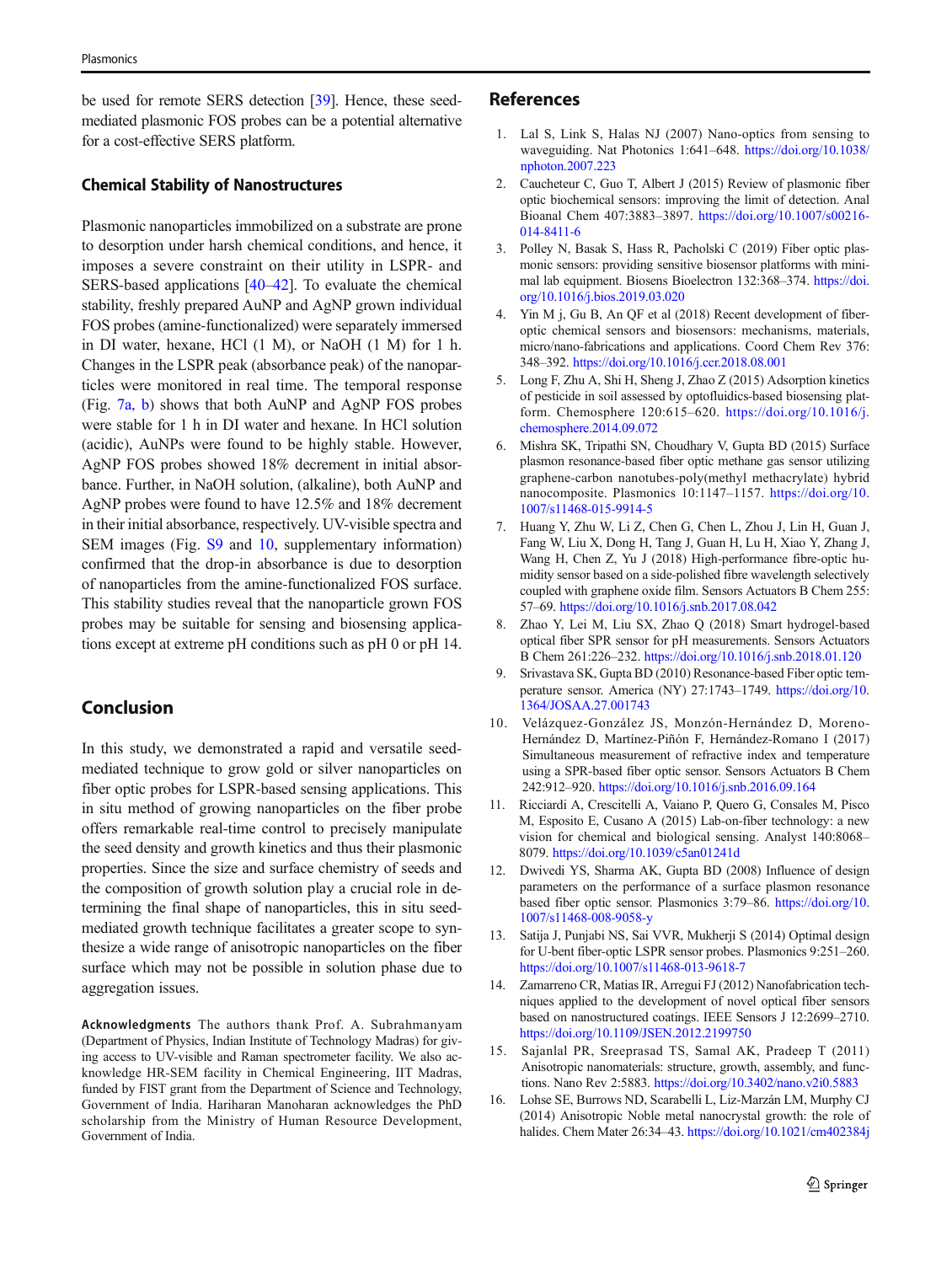<span id="page-8-0"></span>be used for remote SERS detection [\[39\]](#page-9-0). Hence, these seedmediated plasmonic FOS probes can be a potential alternative for a cost-effective SERS platform.

# Chemical Stability of Nanostructures

Plasmonic nanoparticles immobilized on a substrate are prone to desorption under harsh chemical conditions, and hence, it imposes a severe constraint on their utility in LSPR- and SERS-based applications [\[40](#page-9-0)–[42\]](#page-9-0). To evaluate the chemical stability, freshly prepared AuNP and AgNP grown individual FOS probes (amine-functionalized) were separately immersed in DI water, hexane, HCl (1 M), or NaOH (1 M) for 1 h. Changes in the LSPR peak (absorbance peak) of the nanoparticles were monitored in real time. The temporal response (Fig. [7a, b](#page-7-0)) shows that both AuNP and AgNP FOS probes were stable for 1 h in DI water and hexane. In HCl solution (acidic), AuNPs were found to be highly stable. However, AgNP FOS probes showed 18% decrement in initial absorbance. Further, in NaOH solution, (alkaline), both AuNP and AgNP probes were found to have 12.5% and 18% decrement in their initial absorbance, respectively. UV-visible spectra and SEM images (Fig. S9 and 10, supplementary information) confirmed that the drop-in absorbance is due to desorption of nanoparticles from the amine-functionalized FOS surface. This stability studies reveal that the nanoparticle grown FOS probes may be suitable for sensing and biosensing applications except at extreme pH conditions such as pH 0 or pH 14.

# Conclusion

In this study, we demonstrated a rapid and versatile seedmediated technique to grow gold or silver nanoparticles on fiber optic probes for LSPR-based sensing applications. This in situ method of growing nanoparticles on the fiber probe offers remarkable real-time control to precisely manipulate the seed density and growth kinetics and thus their plasmonic properties. Since the size and surface chemistry of seeds and the composition of growth solution play a crucial role in determining the final shape of nanoparticles, this in situ seedmediated growth technique facilitates a greater scope to synthesize a wide range of anisotropic nanoparticles on the fiber surface which may not be possible in solution phase due to aggregation issues.

Acknowledgments The authors thank Prof. A. Subrahmanyam (Department of Physics, Indian Institute of Technology Madras) for giving access to UV-visible and Raman spectrometer facility. We also acknowledge HR-SEM facility in Chemical Engineering, IIT Madras, funded by FIST grant from the Department of Science and Technology, Government of India. Hariharan Manoharan acknowledges the PhD scholarship from the Ministry of Human Resource Development, Government of India.

#### References

- 1. Lal S, Link S, Halas NJ (2007) Nano-optics from sensing to waveguiding. Nat Photonics 1:641–648. [https://doi.org/10.1038/](https://doi.org/10.1038/nphoton.2007.223) [nphoton.2007.223](https://doi.org/10.1038/nphoton.2007.223)
- 2. Caucheteur C, Guo T, Albert J (2015) Review of plasmonic fiber optic biochemical sensors: improving the limit of detection. Anal Bioanal Chem 407:3883–3897. [https://doi.org/10.1007/s00216-](https://doi.org/10.1007/s00216-014-8411-6) [014-8411-6](https://doi.org/10.1007/s00216-014-8411-6)
- 3. Polley N, Basak S, Hass R, Pacholski C (2019) Fiber optic plasmonic sensors: providing sensitive biosensor platforms with minimal lab equipment. Biosens Bioelectron 132:368–374. [https://doi.](https://doi.org/10.1016/j.bios.2019.03.020) [org/10.1016/j.bios.2019.03.020](https://doi.org/10.1016/j.bios.2019.03.020)
- 4. Yin M j, Gu B, An QF et al (2018) Recent development of fiberoptic chemical sensors and biosensors: mechanisms, materials, micro/nano-fabrications and applications. Coord Chem Rev 376: 348–392. <https://doi.org/10.1016/j.ccr.2018.08.001>
- 5. Long F, Zhu A, Shi H, Sheng J, Zhao Z (2015) Adsorption kinetics of pesticide in soil assessed by optofluidics-based biosensing platform. Chemosphere 120:615–620. [https://doi.org/10.1016/j.](https://doi.org/10.1016/j.chemosphere.2014.09.072) [chemosphere.2014.09.072](https://doi.org/10.1016/j.chemosphere.2014.09.072)
- 6. Mishra SK, Tripathi SN, Choudhary V, Gupta BD (2015) Surface plasmon resonance-based fiber optic methane gas sensor utilizing graphene-carbon nanotubes-poly(methyl methacrylate) hybrid nanocomposite. Plasmonics 10:1147–1157. [https://doi.org/10.](https://doi.org/10.1007/s11468-015-9914-5) [1007/s11468-015-9914-5](https://doi.org/10.1007/s11468-015-9914-5)
- 7. Huang Y, Zhu W, Li Z, Chen G, Chen L, Zhou J, Lin H, Guan J, Fang W, Liu X, Dong H, Tang J, Guan H, Lu H, Xiao Y, Zhang J, Wang H, Chen Z, Yu J (2018) High-performance fibre-optic humidity sensor based on a side-polished fibre wavelength selectively coupled with graphene oxide film. Sensors Actuators B Chem 255: 57–69. <https://doi.org/10.1016/j.snb.2017.08.042>
- 8. Zhao Y, Lei M, Liu SX, Zhao Q (2018) Smart hydrogel-based optical fiber SPR sensor for pH measurements. Sensors Actuators B Chem 261:226–232. <https://doi.org/10.1016/j.snb.2018.01.120>
- 9. Srivastava SK, Gupta BD (2010) Resonance-based Fiber optic temperature sensor. America (NY) 27:1743–1749. [https://doi.org/10.](https://doi.org/10.1364/JOSAA.27.001743) [1364/JOSAA.27.001743](https://doi.org/10.1364/JOSAA.27.001743)
- 10. Velázquez-González JS, Monzón-Hernández D, Moreno-Hernández D, Martínez-Piñón F, Hernández-Romano I (2017) Simultaneous measurement of refractive index and temperature using a SPR-based fiber optic sensor. Sensors Actuators B Chem 242:912–920. <https://doi.org/10.1016/j.snb.2016.09.164>
- 11. Ricciardi A, Crescitelli A, Vaiano P, Quero G, Consales M, Pisco M, Esposito E, Cusano A (2015) Lab-on-fiber technology: a new vision for chemical and biological sensing. Analyst 140:8068– 8079. <https://doi.org/10.1039/c5an01241d>
- 12. Dwivedi YS, Sharma AK, Gupta BD (2008) Influence of design parameters on the performance of a surface plasmon resonance based fiber optic sensor. Plasmonics 3:79–86. [https://doi.org/10.](https://doi.org/10.1007/s11468-008-9058-y) [1007/s11468-008-9058-y](https://doi.org/10.1007/s11468-008-9058-y)
- 13. Satija J, Punjabi NS, Sai VVR, Mukherji S (2014) Optimal design for U-bent fiber-optic LSPR sensor probes. Plasmonics 9:251–260. <https://doi.org/10.1007/s11468-013-9618-7>
- 14. Zamarreno CR, Matias IR, Arregui FJ (2012) Nanofabrication techniques applied to the development of novel optical fiber sensors based on nanostructured coatings. IEEE Sensors J 12:2699–2710. <https://doi.org/10.1109/JSEN.2012.2199750>
- 15. Sajanlal PR, Sreeprasad TS, Samal AK, Pradeep T (2011) Anisotropic nanomaterials: structure, growth, assembly, and functions. Nano Rev 2:5883. <https://doi.org/10.3402/nano.v2i0.5883>
- 16. Lohse SE, Burrows ND, Scarabelli L, Liz-Marzán LM, Murphy CJ (2014) Anisotropic Noble metal nanocrystal growth: the role of halides. Chem Mater 26:34–43. <https://doi.org/10.1021/cm402384j>